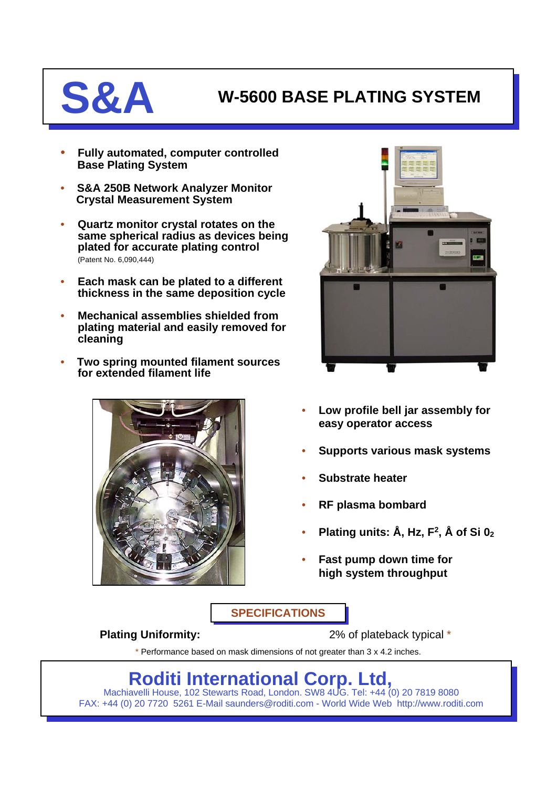## **S&A W-5600 BASE PLATING SYSTEM**

- **Fully automated, computer controlled Base Plating System**
- **S&A 250B Network Analyzer Monitor Crystal Measurement System**
- **Quartz monitor crystal rotates on the same spherical radius as devices being plated for accurate plating control** (Patent No. 6,090,444)
- **Each mask can be plated to a different thickness in the same deposition cycle**
- **Mechanical assemblies shielded from plating material and easily removed for cleaning**
- **Two spring mounted filament sources for extended filament life**





- **Low profile bell jar assembly for easy operator access**
- **Supports various mask systems**
- **Substrate heater**
- **RF plasma bombard**
- **Plating units: Å, Hz, F2, Å of Si 02**
- **Fast pump down time for high system throughput**

**SPECIFICATIONS**

**Plating Uniformity:** 2% of plateback typical \*

\* Performance based on mask dimensions of not greater than 3 x 4.2 inches.

**Roditi International Corp. Ltd,**

Machiavelli House, 102 Stewarts Road, London. SW8 4UG. Tel: +44 (0) 20 7819 8080 FAX: +44 (0) 20 7720 5261 E-Mail saunders@roditi.com - World Wide Web http://www.roditi.com